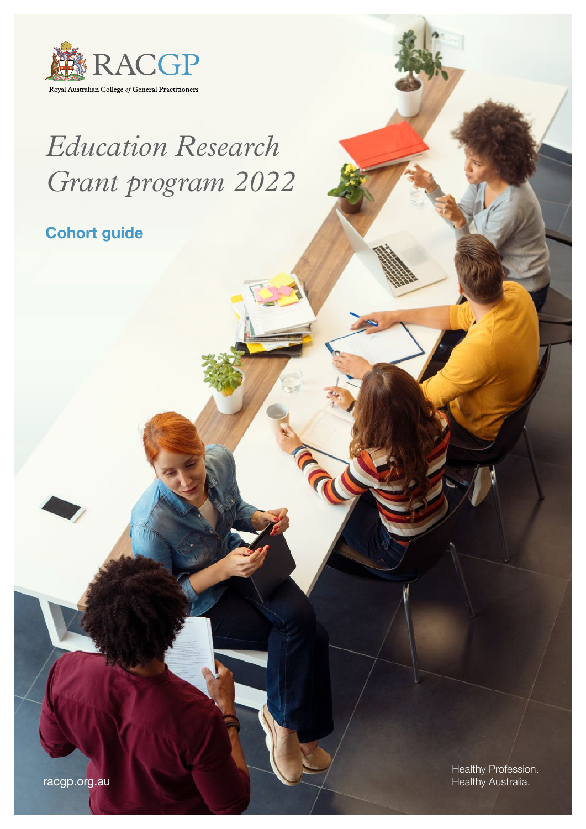

# *Education Research Grant program 2022*

Cohort guide

[racgp.org.au](www.racgp.org.au)

Healthy Profession. Healthy Australia.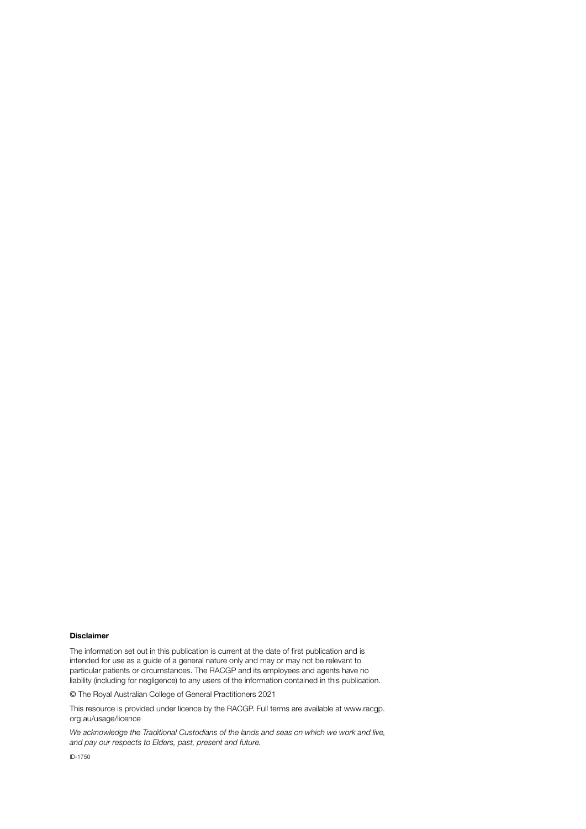#### Disclaimer

The information set out in this publication is current at the date of first publication and is intended for use as a guide of a general nature only and may or may not be relevant to particular patients or circumstances. The RACGP and its employees and agents have no liability (including for negligence) to any users of the information contained in this publication.

© The Royal Australian College of General Practitioners 2021

[This](mailto:This) resource is provided under licence by the RACGP. Full terms are available at [www.racgp.](https://www.racgp.org.au/usage/licence) [org.au/usage/licence](https://www.racgp.org.au/usage/licence)

*We acknowledge the Traditional Custodians of the lands and seas on which we work and live, and pay our respects to Elders, past, present and future.*

ID-1750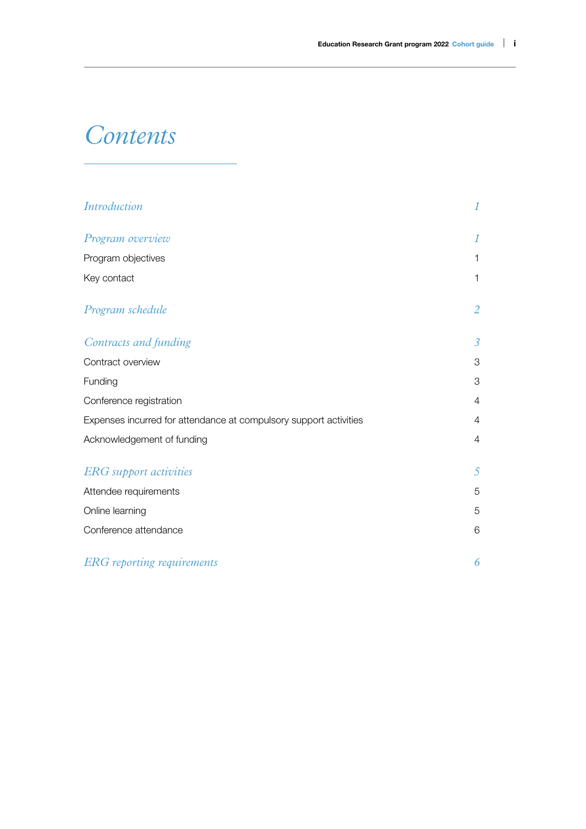# *Contents*

| <b>Introduction</b>                                               | 1              |
|-------------------------------------------------------------------|----------------|
| Program overview                                                  | 1              |
| Program objectives                                                | $\mathbf{1}$   |
| Key contact                                                       | $\mathbf{1}$   |
| Program schedule                                                  | $\overline{a}$ |
| Contracts and funding                                             | $\mathfrak{Z}$ |
| Contract overview                                                 | 3              |
| Funding                                                           | 3              |
| Conference registration                                           | $\overline{4}$ |
| Expenses incurred for attendance at compulsory support activities | $\overline{4}$ |
| Acknowledgement of funding                                        | $\overline{4}$ |
| <b>ERG</b> support activities                                     | 5              |
| Attendee requirements                                             | 5              |
| Online learning                                                   | 5              |
| Conference attendance                                             | 6              |
| <b>ERG</b> reporting requirements                                 | 6              |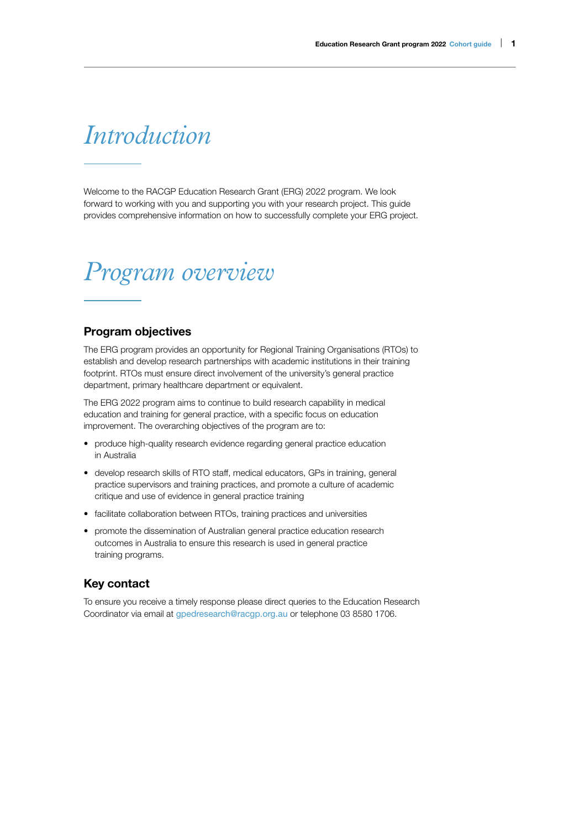# <span id="page-3-0"></span>*Introduction*

Welcome to the RACGP Education Research Grant (ERG) 2022 program. We look forward to working with you and supporting you with your research project. This guide provides comprehensive information on how to successfully complete your ERG project.

# *Program overview*

### Program objectives

The ERG program provides an opportunity for Regional Training Organisations (RTOs) to establish and develop research partnerships with academic institutions in their training footprint. RTOs must ensure direct involvement of the university's general practice department, primary healthcare department or equivalent.

The ERG 2022 program aims to continue to build research capability in medical education and training for general practice, with a specific focus on education improvement. The overarching objectives of the program are to:

- produce high-quality research evidence regarding general practice education in Australia
- develop research skills of RTO staff, medical educators, GPs in training, general practice supervisors and training practices, and promote a culture of academic critique and use of evidence in general practice training
- facilitate collaboration between RTOs, training practices and universities
- promote the dissemination of Australian general practice education research outcomes in Australia to ensure this research is used in general practice training programs.

### Key contact

To ensure you receive a timely response please direct queries to the Education Research Coordinator via email at [gpedresearch@racgp.org.au](mailto:gpedresearch@racgp.org.au) or telephone 03 8580 1706.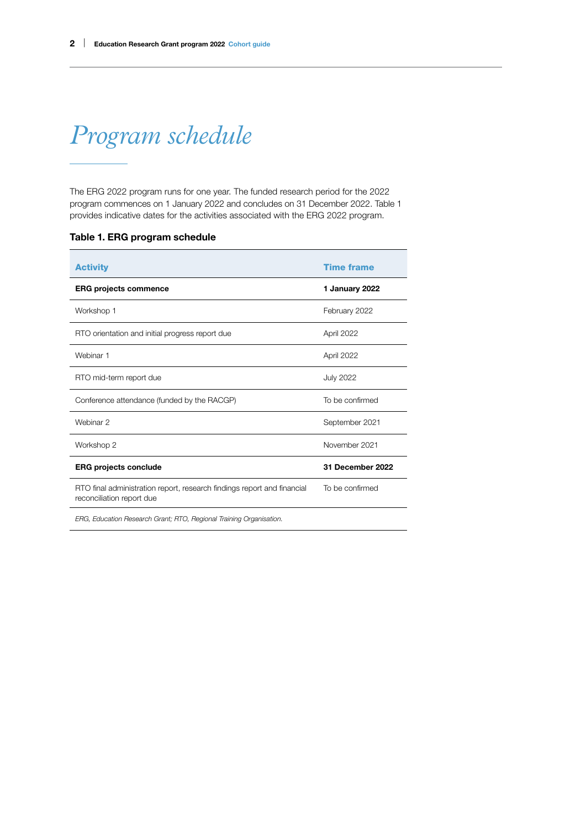# <span id="page-4-0"></span>*Program schedule*

The ERG 2022 program runs for one year. The funded research period for the 2022 program commences on 1 January 2022 and concludes on 31 December 2022. Table 1 provides indicative dates for the activities associated with the ERG 2022 program.

| <b>Activity</b>                                                                                      | <b>Time frame</b> |
|------------------------------------------------------------------------------------------------------|-------------------|
| <b>ERG projects commence</b>                                                                         | 1 January 2022    |
| Workshop 1                                                                                           | February 2022     |
| RTO orientation and initial progress report due                                                      | April 2022        |
| Webinar 1                                                                                            | April 2022        |
| RTO mid-term report due                                                                              | <b>July 2022</b>  |
| Conference attendance (funded by the RACGP)                                                          | To be confirmed   |
| Webinar 2                                                                                            | September 2021    |
| Workshop 2                                                                                           | November 2021     |
| <b>ERG projects conclude</b>                                                                         | 31 December 2022  |
| RTO final administration report, research findings report and financial<br>reconciliation report due | To be confirmed   |
| ERG, Education Research Grant; RTO, Regional Training Organisation.                                  |                   |

#### Table 1. ERG program schedule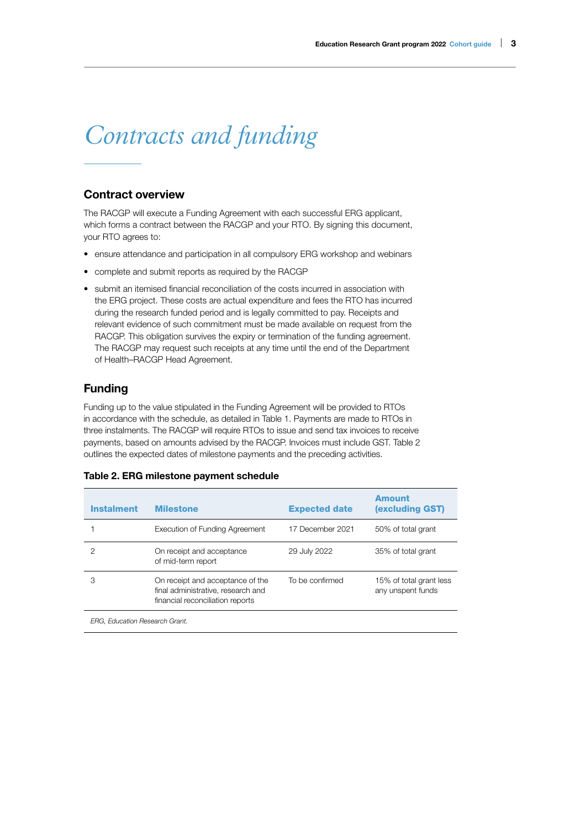# <span id="page-5-0"></span>*Contracts and funding*

### Contract overview

The RACGP will execute a Funding Agreement with each successful ERG applicant, which forms a contract between the RACGP and your RTO. By signing this document, your RTO agrees to:

- ensure attendance and participation in all compulsory ERG workshop and webinars
- complete and submit reports as required by the RACGP
- submit an itemised financial reconciliation of the costs incurred in association with the ERG project. These costs are actual expenditure and fees the RTO has incurred during the research funded period and is legally committed to pay. Receipts and relevant evidence of such commitment must be made available on request from the RACGP. This obligation survives the expiry or termination of the funding agreement. The RACGP may request such receipts at any time until the end of the Department of Health–RACGP Head Agreement.

### Funding

Funding up to the value stipulated in the Funding Agreement will be provided to RTOs in accordance with the schedule, as detailed in Table 1. Payments are made to RTOs in three instalments. The RACGP will require RTOs to issue and send tax invoices to receive payments, based on amounts advised by the RACGP. Invoices must include GST. Table 2 outlines the expected dates of milestone payments and the preceding activities.

#### Table 2. ERG milestone payment schedule

| <b>Instalment</b> | <b>Milestone</b>                                                                                           | <b>Expected date</b> | Amount<br>(excluding GST)                    |
|-------------------|------------------------------------------------------------------------------------------------------------|----------------------|----------------------------------------------|
|                   | Execution of Funding Agreement                                                                             | 17 December 2021     | 50% of total grant                           |
| 2                 | On receipt and acceptance<br>of mid-term report                                                            | 29 July 2022         | 35% of total grant                           |
| З                 | On receipt and acceptance of the<br>final administrative, research and<br>financial reconciliation reports | To be confirmed      | 15% of total grant less<br>any unspent funds |
|                   |                                                                                                            |                      |                                              |

*ERG, Education Research Grant.*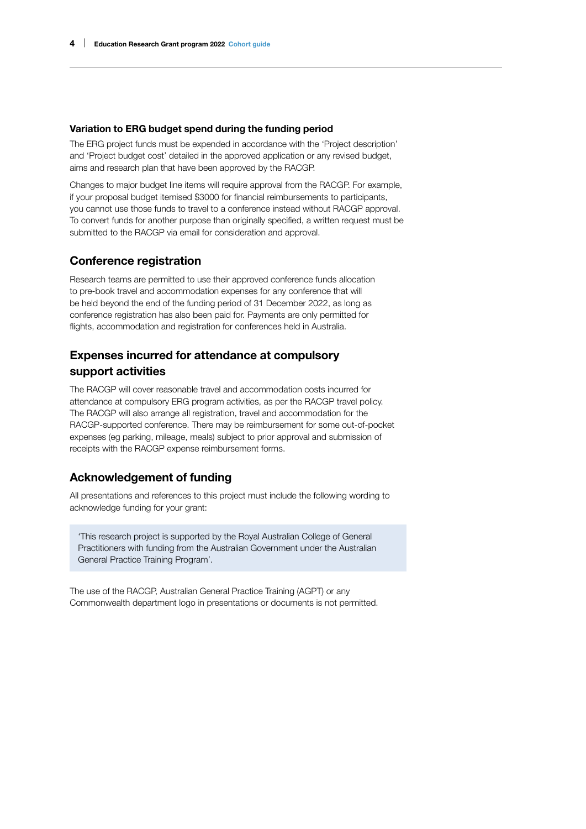#### <span id="page-6-0"></span>Variation to ERG budget spend during the funding period

The ERG project funds must be expended in accordance with the 'Project description' and 'Project budget cost' detailed in the approved application or any revised budget, aims and research plan that have been approved by the RACGP.

Changes to major budget line items will require approval from the RACGP. For example, if your proposal budget itemised \$3000 for financial reimbursements to participants, you cannot use those funds to travel to a conference instead without RACGP approval. To convert funds for another purpose than originally specified, a written request must be submitted to the RACGP via email for consideration and approval.

### Conference registration

Research teams are permitted to use their approved conference funds allocation to pre-book travel and accommodation expenses for any conference that will be held beyond the end of the funding period of 31 December 2022, as long as conference registration has also been paid for. Payments are only permitted for flights, accommodation and registration for conferences held in Australia.

## Expenses incurred for attendance at compulsory support activities

The RACGP will cover reasonable travel and accommodation costs incurred for attendance at compulsory ERG program activities, as per the RACGP travel policy. The RACGP will also arrange all registration, travel and accommodation for the RACGP-supported conference. There may be reimbursement for some out-of-pocket expenses (eg parking, mileage, meals) subject to prior approval and submission of receipts with the RACGP expense reimbursement forms.

### Acknowledgement of funding

All presentations and references to this project must include the following wording to acknowledge funding for your grant:

'This research project is supported by the Royal Australian College of General Practitioners with funding from the Australian Government under the Australian General Practice Training Program'.

The use of the RACGP, Australian General Practice Training (AGPT) or any Commonwealth department logo in presentations or documents is not permitted.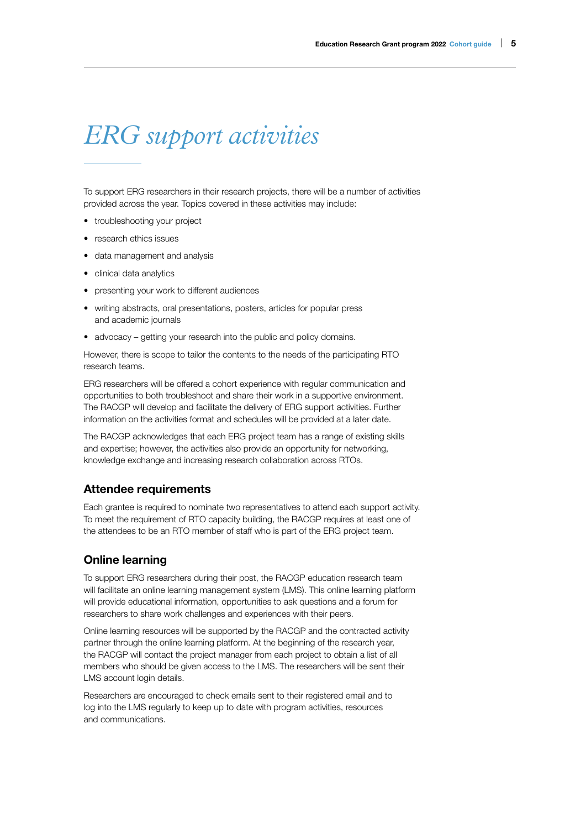# <span id="page-7-0"></span>*ERG support activities*

To support ERG researchers in their research projects, there will be a number of activities provided across the year. Topics covered in these activities may include:

- troubleshooting your project
- research ethics issues
- data management and analysis
- clinical data analytics
- presenting your work to different audiences
- writing abstracts, oral presentations, posters, articles for popular press and academic journals
- advocacy getting your research into the public and policy domains.

However, there is scope to tailor the contents to the needs of the participating RTO research teams.

ERG researchers will be offered a cohort experience with regular communication and opportunities to both troubleshoot and share their work in a supportive environment. The RACGP will develop and facilitate the delivery of ERG support activities. Further information on the activities format and schedules will be provided at a later date.

The RACGP acknowledges that each ERG project team has a range of existing skills and expertise; however, the activities also provide an opportunity for networking, knowledge exchange and increasing research collaboration across RTOs.

#### Attendee requirements

Each grantee is required to nominate two representatives to attend each support activity. To meet the requirement of RTO capacity building, the RACGP requires at least one of the attendees to be an RTO member of staff who is part of the ERG project team.

#### Online learning

To support ERG researchers during their post, the RACGP education research team will facilitate an online learning management system (LMS). This online learning platform will provide educational information, opportunities to ask questions and a forum for researchers to share work challenges and experiences with their peers.

Online learning resources will be supported by the RACGP and the contracted activity partner through the online learning platform. At the beginning of the research year, the RACGP will contact the project manager from each project to obtain a list of all members who should be given access to the LMS. The researchers will be sent their LMS account login details.

Researchers are encouraged to check emails sent to their registered email and to log into the LMS regularly to keep up to date with program activities, resources and communications.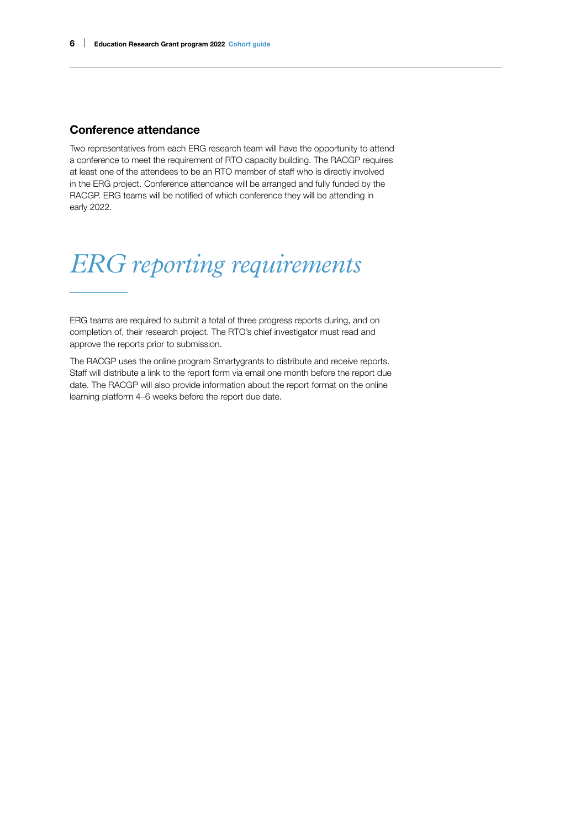### <span id="page-8-0"></span>Conference attendance

Two representatives from each ERG research team will have the opportunity to attend a conference to meet the requirement of RTO capacity building. The RACGP requires at least one of the attendees to be an RTO member of staff who is directly involved in the ERG project. Conference attendance will be arranged and fully funded by the RACGP. ERG teams will be notified of which conference they will be attending in early 2022.

# *ERG reporting requirements*

ERG teams are required to submit a total of three progress reports during, and on completion of, their research project. The RTO's chief investigator must read and approve the reports prior to submission.

The RACGP uses the online program Smartygrants to distribute and receive reports. Staff will distribute a link to the report form via email one month before the report due date. The RACGP will also provide information about the report format on the online learning platform 4–6 weeks before the report due date.